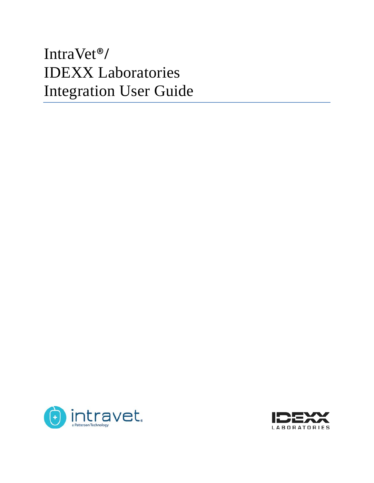# IntraVet®**/** IDEXX Laboratories Integration User Guide



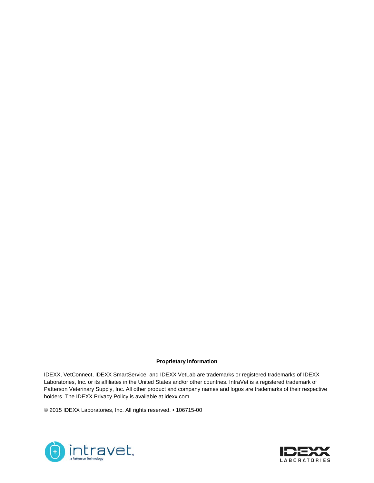#### **Proprietary information**

IDEXX, VetConnect, IDEXX SmartService, and IDEXX VetLab are trademarks or registered trademarks of IDEXX Laboratories, Inc. or its affiliates in the United States and/or other countries. IntraVet is a registered trademark of Patterson Veterinary Supply, Inc. All other product and company names and logos are trademarks of their respective holders. The IDEXX Privacy Policy is available at idexx.com.

© 2015 IDEXX Laboratories, Inc. All rights reserved. • 106715-00



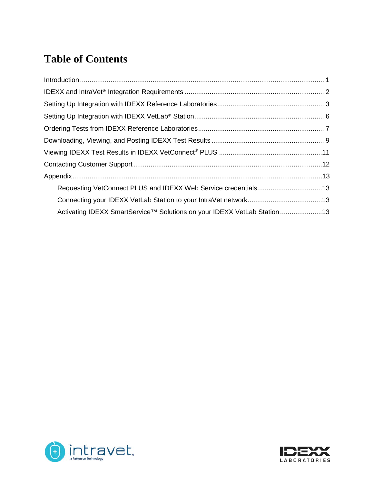# **Table of Contents**

| Requesting VetConnect PLUS and IDEXX Web Service credentials13           |  |
|--------------------------------------------------------------------------|--|
|                                                                          |  |
| Activating IDEXX SmartService™ Solutions on your IDEXX VetLab Station 13 |  |



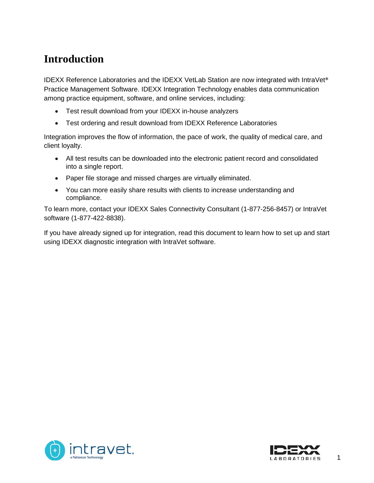# <span id="page-3-0"></span>**Introduction**

IDEXX Reference Laboratories and the IDEXX VetLab Station are now integrated with IntraVet® Practice Management Software. [IDEXX Integration Technology](http://www.idexx.com/view/xhtml/en_us/smallanimal/practice-management/practice-management-systems/integration.jsf) enables data communication among practice equipment, software, and online services, including:

- Test result download from your IDEXX in-house analyzers
- Test ordering and result download from IDEXX Reference Laboratories

Integration improves the flow of information, the pace of work, the quality of medical care, and client loyalty.

- All test results can be downloaded into the electronic patient record and consolidated into a single report.
- Paper file storage and missed charges are virtually eliminated.
- You can more easily share results with clients to increase understanding and compliance.

To learn more, contact your IDEXX Sales Connectivity Consultant (1-877-256-8457) or IntraVet software (1-877-422-8838).

If you have already signed up for integration, read this document to learn how to set up and start using IDEXX diagnostic integration with IntraVet software.



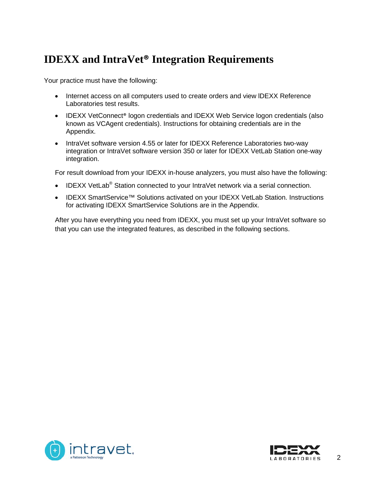### <span id="page-4-0"></span>**IDEXX and IntraVet® Integration Requirements**

Your practice must have the following:

- Internet access on all computers used to create orders and view lDEXX Reference Laboratories test results.
- IDEXX VetConnect® logon credentials and IDEXX Web Service logon credentials (also known as VCAgent credentials). Instructions for obtaining credentials are in the Appendix.
- IntraVet software version 4.55 or later for IDEXX Reference Laboratories two-way integration or IntraVet software version 350 or later for IDEXX VetLab Station one-way integration.

For result download from your IDEXX in-house analyzers, you must also have the following:

- IDEXX VetLab<sup>®</sup> Station connected to your IntraVet network via a serial connection.
- IDEXX SmartService™ Solutions activated on your IDEXX VetLab Station. Instructions for activating IDEXX SmartService Solutions are in the Appendix.

After you have everything you need from IDEXX, you must set up your IntraVet software so that you can use the integrated features, as described in the following sections.



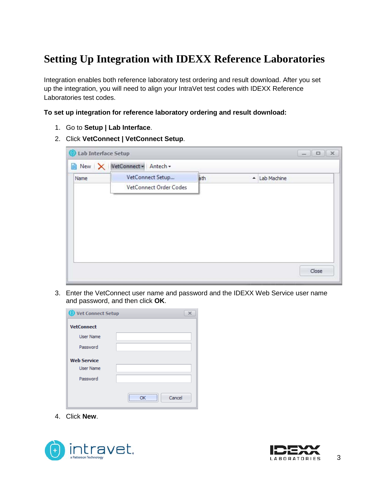# <span id="page-5-0"></span>**Setting Up Integration with IDEXX Reference Laboratories**

Integration enables both reference laboratory test ordering and result download. After you set up the integration, you will need to align your IntraVet test codes with IDEXX Reference Laboratories test codes.

#### **To set up integration for reference laboratory ordering and result download:**

- 1. Go to **Setup | Lab Interface**.
- 2. Click **VetConnect | VetConnect Setup**.

| Lab Interface Setup |                                 |                        |     |                  | $\mathbb X$<br>$\Box$<br>Come Co |
|---------------------|---------------------------------|------------------------|-----|------------------|----------------------------------|
|                     | New   X   VetConnect + Antech + |                        |     |                  |                                  |
| Name                |                                 | VetConnect Setup       | ath | $\blacktriangle$ | Lab Machine                      |
|                     |                                 | VetConnect Order Codes |     |                  |                                  |
|                     |                                 |                        |     |                  |                                  |
|                     |                                 |                        |     |                  |                                  |
|                     |                                 |                        |     |                  |                                  |
|                     |                                 |                        |     |                  |                                  |
|                     |                                 |                        |     |                  |                                  |
|                     |                                 |                        |     |                  |                                  |
|                     |                                 |                        |     |                  |                                  |
|                     |                                 |                        |     |                  | Close                            |

3. Enter the VetConnect user name and password and the IDEXX Web Service user name and password, and then click **OK**.

| Vet Connect Setup  | ×              |
|--------------------|----------------|
| <b>VetConnect</b>  |                |
| <b>User Name</b>   |                |
| Password           |                |
| <b>Web Service</b> |                |
| <b>User Name</b>   |                |
| Password           |                |
|                    | <br>Cancel<br> |

4. Click **New**.



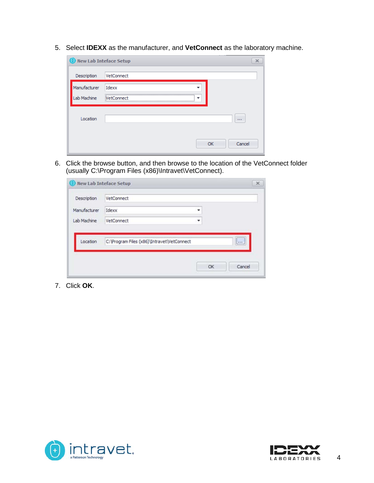5. Select **IDEXX** as the manufacturer, and **VetConnect** as the laboratory machine.

| New Lab Inteface Setup |                 | X |
|------------------------|-----------------|---|
| Description            | VetConnect      |   |
| Manufacturer           | Idexx           |   |
| Lab Machine            | VetConnect<br>▼ |   |
| Location               | 1.1.1           |   |
|                        |                 |   |
|                        | Cancel<br>ОК    |   |

6. Click the browse button, and then browse to the location of the VetConnect folder (usually C:\Program Files (x86)\Intravet\VetConnect).

|              | <b>New Lab Inteface Setup</b>               |   |    |        |
|--------------|---------------------------------------------|---|----|--------|
| Description  | VetConnect                                  |   |    |        |
| Manufacturer | Idexx                                       | ٠ |    |        |
| Lab Machine  | VetConnect                                  | ۰ |    |        |
|              |                                             |   |    |        |
| Location     | C: \Program Files (x86)\Intravet\VetConnect |   |    | $\Box$ |
|              |                                             |   |    |        |
|              |                                             |   |    |        |
|              |                                             |   | OK | Cancel |

7. Click **OK**.



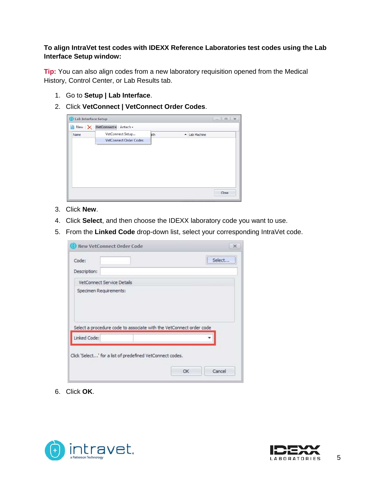#### **To align IntraVet test codes with IDEXX Reference Laboratories test codes using the Lab Interface Setup window:**

**Tip:** You can also align codes from a new laboratory requisition opened from the Medical History, Control Center, or Lab Results tab.

- 1. Go to **Setup | Lab Interface**.
- 2. Click **VetConnect | VetConnect Order Codes**.



- 3. Click **New**.
- 4. Click **Select**, and then choose the IDEXX laboratory code you want to use.
- 5. From the **Linked Code** drop-down list, select your corresponding IntraVet code.

| <b>New VetConnect Order Code</b>                                    |    | $\infty$ |
|---------------------------------------------------------------------|----|----------|
| Code:                                                               |    | Select   |
| Description:                                                        |    |          |
| VetConnect Service Details                                          |    |          |
| Specimen Requirements:                                              |    |          |
|                                                                     |    |          |
|                                                                     |    |          |
|                                                                     |    |          |
|                                                                     |    |          |
| Select a procedure code to associate with the VetConnect order code |    |          |
| Linked Code:                                                        |    |          |
|                                                                     |    |          |
| Click 'Select' for a list of predefined VetConnect codes.           |    |          |
|                                                                     | OK | Cancel   |

6. Click **OK**.



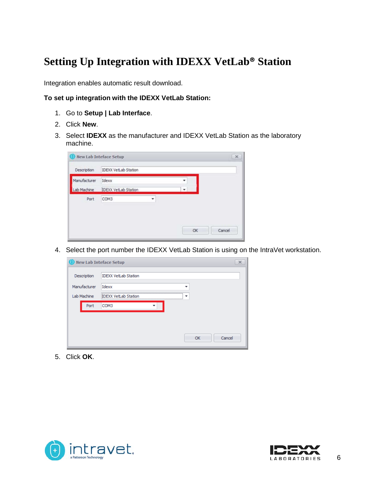### <span id="page-8-0"></span>**Setting Up Integration with IDEXX VetLab® Station**

Integration enables automatic result download.

#### **To set up integration with the IDEXX VetLab Station:**

- 1. Go to **Setup | Lab Interface**.
- 2. Click **New**.
- 3. Select **IDEXX** as the manufacturer and IDEXX VetLab Station as the laboratory machine.

|              | <b>New Lab Inteface Setup</b> |   |    | $\times$ |
|--------------|-------------------------------|---|----|----------|
| Description  | <b>IDEXX VetLab Station</b>   |   |    |          |
| Manufacturer | Idexx                         |   |    |          |
| Lab Machine  | <b>IDEXX VetLab Station</b>   | ۰ |    |          |
| Port         | COM3                          | ٠ |    |          |
|              |                               |   |    |          |
|              |                               |   |    |          |
|              |                               |   | OK | Cancel   |

4. Select the port number the IDEXX VetLab Station is using on the IntraVet workstation.

| <b>O</b> New Lab Inteface Setup |                                  | $\times$ |
|---------------------------------|----------------------------------|----------|
| Description                     | <b>IDEXX VetLab Station</b>      |          |
| Manufacturer                    | Idexx                            |          |
| Lab Machine                     | <b>IDEXX VetLab Station</b><br>▼ |          |
| Port                            | COM3                             |          |
|                                 |                                  |          |
|                                 |                                  |          |
|                                 | Cancel<br>OK                     |          |

5. Click **OK**.



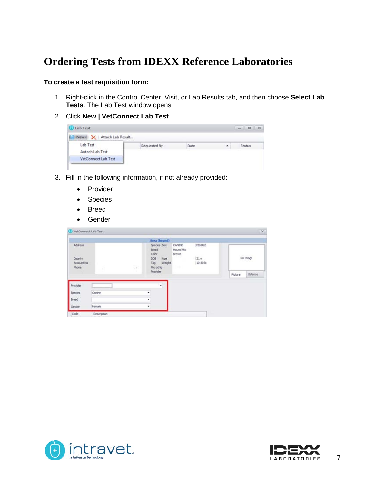### <span id="page-9-0"></span>**Ordering Tests from IDEXX Reference Laboratories**

#### **To create a test requisition form:**

- 1. Right-click in the Control Center, Visit, or Lab Results tab, and then choose **Select Lab Tests**. The Lab Test window opens.
- 2. Click **New | VetConnect Lab Test**.



- 3. Fill in the following information, if not already provided:
	- Provider
	- Species
	- Breed
	- Gender

| <b>O</b> VetConnect Lab Test                                    |                           |                                                                             |                                                     |                                  |         | $\mathbf{x}$ |
|-----------------------------------------------------------------|---------------------------|-----------------------------------------------------------------------------|-----------------------------------------------------|----------------------------------|---------|--------------|
|                                                                 |                           | Brea (hound)                                                                |                                                     |                                  |         |              |
| Address<br><b>STATISTICS</b><br>County.<br>Account No<br>Phone: | x.                        | Species Sex<br>Breed<br>Color<br>DOB<br>Age<br>Tag Weight<br>驿<br>Microchip | CANDIE<br>Hound Mix<br>Brown<br>92 S.H<br><b>DE</b> | <b>FEMALE</b><br>21w<br>10.60 lb |         | No Image     |
|                                                                 |                           | Provider                                                                    |                                                     |                                  | Picture | Balance      |
| Provider                                                        |                           | ٠                                                                           |                                                     |                                  |         |              |
| Species                                                         | <b>CARLO AT</b><br>Canine | ٠                                                                           |                                                     |                                  |         |              |
| Breed                                                           |                           | ٠                                                                           |                                                     |                                  |         |              |
| Gender                                                          | Female                    | ٠                                                                           |                                                     |                                  |         |              |
| Code                                                            | Description               |                                                                             |                                                     |                                  |         |              |



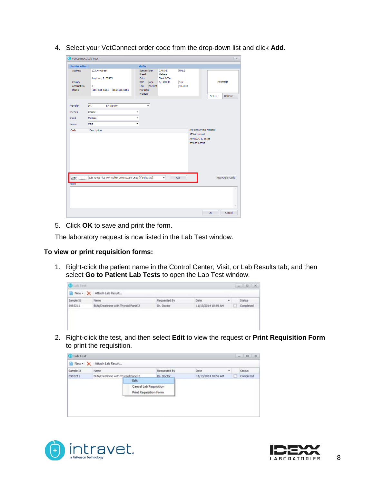4. Select your VetConnect order code from the drop-down list and click **Add**.

| <b>Charles Abbott</b>      |                                    |                                                         | <b>Fluffy</b>                                        |                                                      |                          |                                 |
|----------------------------|------------------------------------|---------------------------------------------------------|------------------------------------------------------|------------------------------------------------------|--------------------------|---------------------------------|
| Address<br>County          | 123 Anystreet<br>Anytown, IL 55555 |                                                         | Species   Sex<br><b>Breed</b><br>Color<br>DOB<br>Age | <b>CANINE</b><br>Maltese<br>Black & Tan<br>8/15/2011 | MALE<br>3 yr<br>10.00 lb | No Image                        |
| <b>Account No</b><br>Phone | $\overline{2}$                     | (555) 555-5555 (555) 555-5555                           | Weight<br>Tag<br>Microchip<br>Provider               |                                                      |                          | <b>Balance</b><br>Picture       |
| Provider                   | DR                                 | Dr. Doctor                                              | ۰                                                    |                                                      |                          |                                 |
| Species                    | Canine                             |                                                         | ٠                                                    |                                                      |                          |                                 |
| <b>Breed</b>               | Maltese                            |                                                         | ۰                                                    |                                                      |                          |                                 |
| Gender                     | Male                               |                                                         | ۰                                                    |                                                      |                          |                                 |
| Code                       | Description                        |                                                         |                                                      |                                                      |                          | <b>IntraVet Animal Hospital</b> |
|                            |                                    |                                                         |                                                      |                                                      |                          | Anytown, IL 55555               |
|                            |                                    |                                                         |                                                      |                                                      | 555-555-5555             |                                 |
| 2889<br><b>Notes</b>       |                                    | Lab 4Dx® Plus with Reflex Lyme Quant C6® (If Indicated) |                                                      | ۰                                                    | Add                      | New Order Code                  |

5. Click **OK** to save and print the form.

The laboratory request is now listed in the Lab Test window.

#### **To view or print requisition forms:**

1. Right-click the patient name in the Control Center, Visit, or Lab Results tab, and then select **Go to Patient Lab Tests** to open the Lab Test window.

| <b>O</b> Lab Trick |                                    |              |                     |   | 一、一、四、次、  |
|--------------------|------------------------------------|--------------|---------------------|---|-----------|
|                    | New - X Attach Lab Result          |              |                     |   |           |
| Sample Id          | Name                               | Requested By | Date:               | ٠ | Status:   |
| 6983211            | BUNCreatinine with Thyroid Panel 2 | Dr. Doctor   | 11/13/2014 10:59 AM |   | Completed |

2. Right-click the test, and then select **Edit** to view the request or **Print Requisition Form** to print the requisition.

|           | New > X Attach Lab Result<br><b>Name</b> |                                                                | Requested By | Date<br>٠           |           |
|-----------|------------------------------------------|----------------------------------------------------------------|--------------|---------------------|-----------|
| Sample Id |                                          |                                                                |              |                     | Status    |
| 6983211   | BUN/Creatinine with Thyroid Panel 2      | Edit                                                           | Dr. Doctor   | 11/13/2014 10:59 AM | Completed |
|           |                                          | <b>Cancel Lab Requisition</b><br><b>Print Requisition Form</b> |              |                     |           |



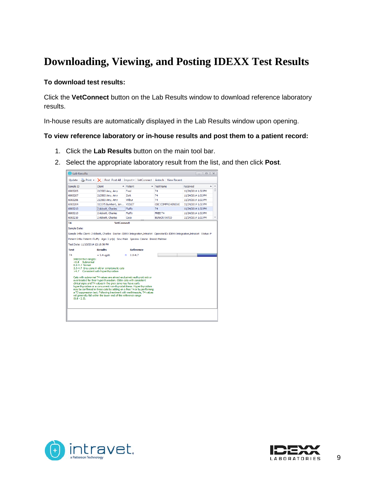### <span id="page-11-0"></span>**Downloading, Viewing, and Posting IDEXX Test Results**

#### **To download test results:**

Click the **VetConnect** button on the Lab Results window to download reference laboratory results.

In-house results are automatically displayed in the Lab Results window upon opening.

#### **To view reference laboratory or in-house results and post them to a patient record:**

- 1. Click the **Lab Results** button on the main tool bar.
- 2. Select the appropriate laboratory result from the list, and then click **Post**.

|                                                             | Update   Print v   X   Post Post All   Import v   VetConnect   Antech   View Recent                                                                                                                                                                                                                 |                     |                          |                    |
|-------------------------------------------------------------|-----------------------------------------------------------------------------------------------------------------------------------------------------------------------------------------------------------------------------------------------------------------------------------------------------|---------------------|--------------------------|--------------------|
| Sample ID                                                   | Client                                                                                                                                                                                                                                                                                              | $\triangle$ Patient | $\triangle$ Test Name    | Received           |
| 6983205                                                     | 213503 Amy, Amy                                                                                                                                                                                                                                                                                     | Fred                | T <sub>4</sub>           | 11/24/2014 1:32 PM |
| 6983207                                                     | 213503 Amy, Amy                                                                                                                                                                                                                                                                                     | Zork                | <b>T4</b>                | 11/24/2014 1:32 PM |
| 6983206                                                     | 213503 Amy, Amy                                                                                                                                                                                                                                                                                     | Wilhur              | T <sub>4</sub>           | 11/24/2014 1:32 PM |
| 6983204                                                     | 113375 Burkhart, Jen                                                                                                                                                                                                                                                                                | <b>VIOLET</b>       | <b>CBC COMPREHENSIVE</b> | 11/24/2014 1:32 PM |
| 6983213                                                     | 2 Abbott, Charles                                                                                                                                                                                                                                                                                   | <b>Fluffy</b>       | <b>T4</b>                | 11/24/2014 1:32 PM |
| 6983213                                                     | 2 Abbott, Charles                                                                                                                                                                                                                                                                                   | Fluffy              | FREE T <sub>4</sub>      | 11/24/2014 1:32 PM |
| 6983210                                                     | 2 Abbott, Charles                                                                                                                                                                                                                                                                                   | Coco                | <b>BUN:CR RATIO</b>      | 11/24/2014 1:32 PM |
| T4                                                          | <b>VetConnect</b>                                                                                                                                                                                                                                                                                   |                     |                          |                    |
| Sample Date:                                                |                                                                                                                                                                                                                                                                                                     |                     |                          |                    |
| Test Date: 11/13/2014 12:16:56 PM<br><b>Test</b>            | <b>Results</b>                                                                                                                                                                                                                                                                                      | <b>Reference</b>    |                          |                    |
| T <sub>4</sub>                                              | $= 5.4$ ug/dL                                                                                                                                                                                                                                                                                       | $H = 0.8 - 4.7$     |                          |                    |
| Interpretive ranges:<br>$< 0.8$ Subnormal<br>0.8-4.7 Normal | 2.3-4.7 Grey zone in old or symptomatic cats<br>>4.7 Consistent with hyperthyroidism<br>Cats with subnormal T4 values are almost exclusively euthyroid sick or<br>overtreated for their hyperthyroidism. Older cats with consistent<br>clinical signs and T4 values in the grey zone may have early |                     |                          |                    |



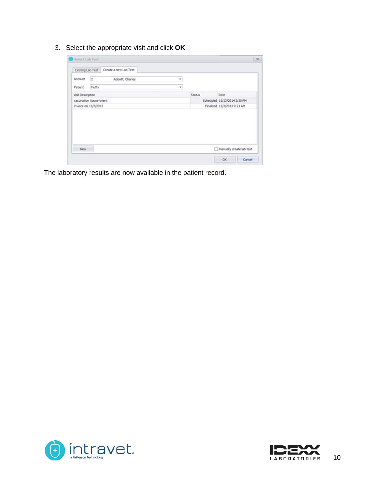3. Select the appropriate visit and click **OK**.

| Existing Lab Test       |                      | Create a new Lab Test |   |        |                              |
|-------------------------|----------------------|-----------------------|---|--------|------------------------------|
| <b>Account</b>          | $\sqrt{2}$           | Abbott, Charles       | ٠ |        |                              |
| Patient                 | Pluffy               |                       | ۰ |        |                              |
| Visit Description       |                      |                       |   | Status | Date                         |
| Vaccination Appointment |                      |                       |   |        |                              |
|                         |                      |                       |   |        | Scheduled 11/13/2014 2:30 PM |
|                         | Invoice on 12/3/2013 |                       |   |        | Finalized 12/3/2013 9:21 AM  |
|                         |                      |                       |   |        |                              |

The laboratory results are now available in the patient record.



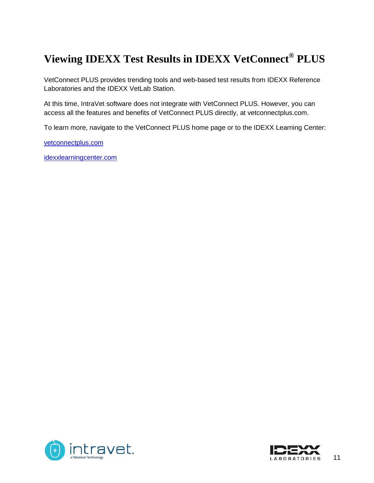# <span id="page-13-0"></span>**Viewing IDEXX Test Results in IDEXX VetConnect® PLUS**

VetConnect PLUS provides trending tools and web-based test results from IDEXX Reference Laboratories and the IDEXX VetLab Station.

At this time, IntraVet software does not integrate with VetConnect PLUS. However, you can access all the features and benefits of VetConnect PLUS directly, at vetconnectplus.com.

To learn more, navigate to the VetConnect PLUS home page or to the IDEXX Learning Center:

[vetconnectplus.com](http://www.vetconnectplus.com/)

[idexxlearningcenter.com](http://www.idexxlearningcenter.com/)



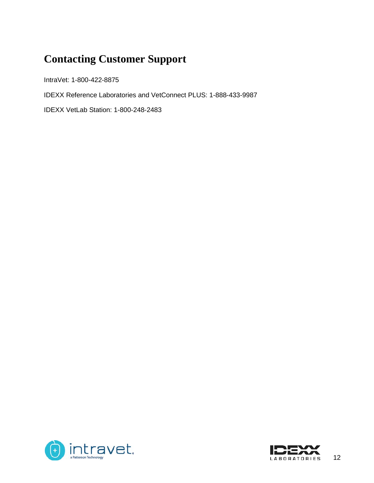# <span id="page-14-0"></span>**Contacting Customer Support**

IntraVet: 1-800-422-8875

IDEXX Reference Laboratories and VetConnect PLUS: 1-888-433-9987

IDEXX VetLab Station: 1-800-248-2483